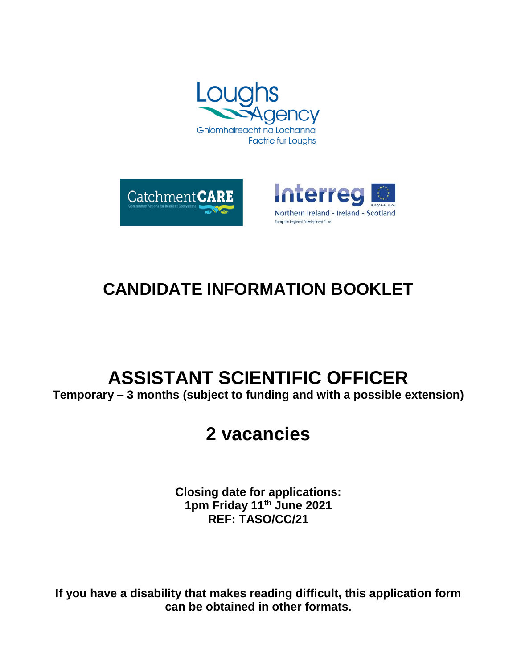





# **CANDIDATE INFORMATION BOOKLET**

# **ASSISTANT SCIENTIFIC OFFICER**

**Temporary – 3 months (subject to funding and with a possible extension)**

# **2 vacancies**

**Closing date for applications: 1pm Friday 11th June 2021 REF: TASO/CC/21**

**If you have a disability that makes reading difficult, this application form can be obtained in other formats.**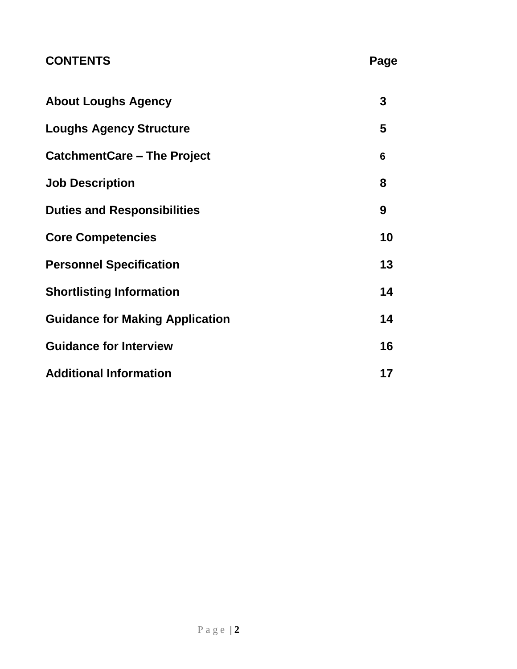## **CONTENTS** Page

| <b>About Loughs Agency</b>             | 3  |
|----------------------------------------|----|
| <b>Loughs Agency Structure</b>         | 5  |
| <b>CatchmentCare – The Project</b>     | 6  |
| <b>Job Description</b>                 | 8  |
| <b>Duties and Responsibilities</b>     | 9  |
| <b>Core Competencies</b>               | 10 |
| <b>Personnel Specification</b>         | 13 |
| <b>Shortlisting Information</b>        | 14 |
| <b>Guidance for Making Application</b> | 14 |
| <b>Guidance for Interview</b>          | 16 |
| <b>Additional Information</b>          | 17 |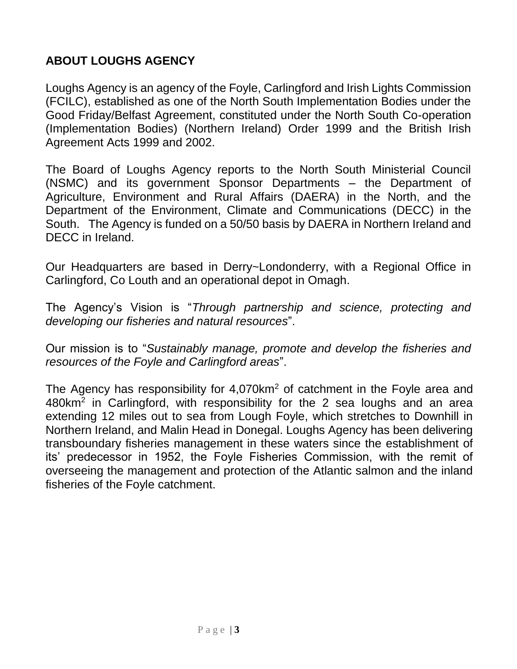### **ABOUT LOUGHS AGENCY**

Loughs Agency is an agency of the Foyle, Carlingford and Irish Lights Commission (FCILC), established as one of the North South Implementation Bodies under the Good Friday/Belfast Agreement, constituted under the North South Co-operation (Implementation Bodies) (Northern Ireland) Order 1999 and the British Irish Agreement Acts 1999 and 2002.

The Board of Loughs Agency reports to the North South Ministerial Council (NSMC) and its government Sponsor Departments – the Department of Agriculture, Environment and Rural Affairs (DAERA) in the North, and the Department of the Environment, Climate and Communications (DECC) in the South. The Agency is funded on a 50/50 basis by DAERA in Northern Ireland and DECC in Ireland.

Our Headquarters are based in Derry~Londonderry, with a Regional Office in Carlingford, Co Louth and an operational depot in Omagh.

The Agency's Vision is "*Through partnership and science, protecting and developing our fisheries and natural resources*".

Our mission is to "*Sustainably manage, promote and develop the fisheries and resources of the Foyle and Carlingford areas*".

The Agency has responsibility for 4,070km<sup>2</sup> of catchment in the Foyle area and 480km<sup>2</sup> in Carlingford, with responsibility for the 2 sea loughs and an area extending 12 miles out to sea from Lough Foyle, which stretches to Downhill in Northern Ireland, and Malin Head in Donegal. Loughs Agency has been delivering transboundary fisheries management in these waters since the establishment of its' predecessor in 1952, the Foyle Fisheries Commission, with the remit of overseeing the management and protection of the Atlantic salmon and the inland fisheries of the Foyle catchment.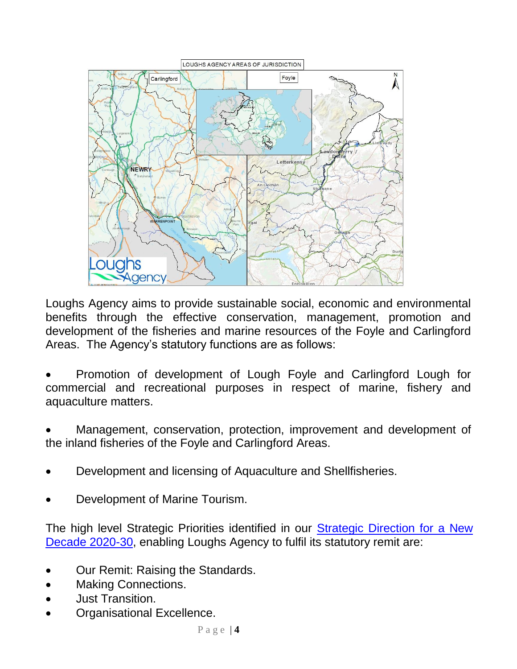

Loughs Agency aims to provide sustainable social, economic and environmental benefits through the effective conservation, management, promotion and development of the fisheries and marine resources of the Foyle and Carlingford Areas. The Agency's statutory functions are as follows:

 Promotion of development of Lough Foyle and Carlingford Lough for commercial and recreational purposes in respect of marine, fishery and aquaculture matters.

 Management, conservation, protection, improvement and development of the inland fisheries of the Foyle and Carlingford Areas.

- Development and licensing of Aquaculture and Shellfisheries.
- Development of Marine Tourism.

The high level Strategic Priorities identified in our Strategic Direction for a New [Decade 2020-30,](https://www.loughs-agency.org/app/uploads/2019/06/Loughs-Agency-Strategic-Direction-Final.pdf) enabling Loughs Agency to fulfil its statutory remit are:

- Our Remit: Raising the Standards.
- Making Connections.
- Just Transition.
- Organisational Excellence.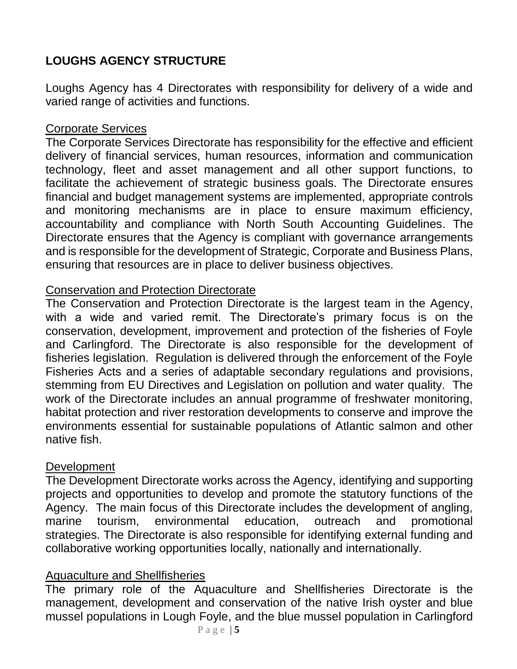## **LOUGHS AGENCY STRUCTURE**

Loughs Agency has 4 Directorates with responsibility for delivery of a wide and varied range of activities and functions.

#### Corporate Services

The Corporate Services Directorate has responsibility for the effective and efficient delivery of financial services, human resources, information and communication technology, fleet and asset management and all other support functions, to facilitate the achievement of strategic business goals. The Directorate ensures financial and budget management systems are implemented, appropriate controls and monitoring mechanisms are in place to ensure maximum efficiency, accountability and compliance with North South Accounting Guidelines. The Directorate ensures that the Agency is compliant with governance arrangements and is responsible for the development of Strategic, Corporate and Business Plans, ensuring that resources are in place to deliver business objectives.

#### Conservation and Protection Directorate

The Conservation and Protection Directorate is the largest team in the Agency, with a wide and varied remit. The Directorate's primary focus is on the conservation, development, improvement and protection of the fisheries of Foyle and Carlingford. The Directorate is also responsible for the development of fisheries legislation. Regulation is delivered through the enforcement of the Foyle Fisheries Acts and a series of adaptable secondary regulations and provisions, stemming from EU Directives and Legislation on pollution and water quality. The work of the Directorate includes an annual programme of freshwater monitoring, habitat protection and river restoration developments to conserve and improve the environments essential for sustainable populations of Atlantic salmon and other native fish.

#### **Development**

The Development Directorate works across the Agency, identifying and supporting projects and opportunities to develop and promote the statutory functions of the Agency. The main focus of this Directorate includes the development of angling, marine tourism, environmental education, outreach and promotional strategies. The Directorate is also responsible for identifying external funding and collaborative working opportunities locally, nationally and internationally.

#### Aquaculture and Shellfisheries

The primary role of the Aquaculture and Shellfisheries Directorate is the management, development and conservation of the native Irish oyster and blue mussel populations in Lough Foyle, and the blue mussel population in Carlingford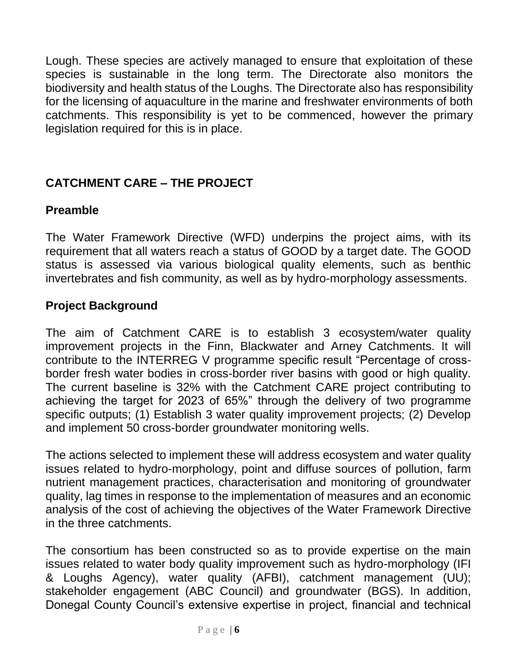Lough. These species are actively managed to ensure that exploitation of these species is sustainable in the long term. The Directorate also monitors the biodiversity and health status of the Loughs. The Directorate also has responsibility for the licensing of aquaculture in the marine and freshwater environments of both catchments. This responsibility is yet to be commenced, however the primary legislation required for this is in place.

### **CATCHMENT CARE – THE PROJECT**

#### **Preamble**

The Water Framework Directive (WFD) underpins the project aims, with its requirement that all waters reach a status of GOOD by a target date. The GOOD status is assessed via various biological quality elements, such as benthic invertebrates and fish community, as well as by hydro-morphology assessments.

#### **Project Background**

The aim of Catchment CARE is to establish 3 ecosystem/water quality improvement projects in the Finn, Blackwater and Arney Catchments. It will contribute to the INTERREG V programme specific result "Percentage of crossborder fresh water bodies in cross-border river basins with good or high quality. The current baseline is 32% with the Catchment CARE project contributing to achieving the target for 2023 of 65%" through the delivery of two programme specific outputs; (1) Establish 3 water quality improvement projects; (2) Develop and implement 50 cross-border groundwater monitoring wells.

The actions selected to implement these will address ecosystem and water quality issues related to hydro-morphology, point and diffuse sources of pollution, farm nutrient management practices, characterisation and monitoring of groundwater quality, lag times in response to the implementation of measures and an economic analysis of the cost of achieving the objectives of the Water Framework Directive in the three catchments.

The consortium has been constructed so as to provide expertise on the main issues related to water body quality improvement such as hydro-morphology (IFI & Loughs Agency), water quality (AFBI), catchment management (UU); stakeholder engagement (ABC Council) and groundwater (BGS). In addition, Donegal County Council's extensive expertise in project, financial and technical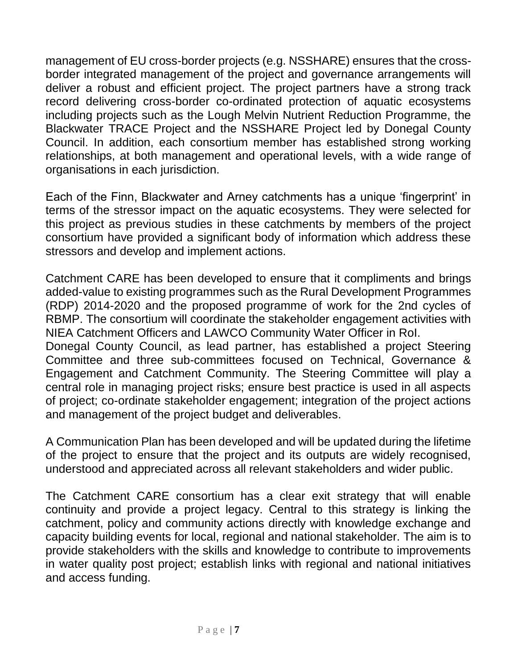management of EU cross-border projects (e.g. NSSHARE) ensures that the crossborder integrated management of the project and governance arrangements will deliver a robust and efficient project. The project partners have a strong track record delivering cross-border co-ordinated protection of aquatic ecosystems including projects such as the Lough Melvin Nutrient Reduction Programme, the Blackwater TRACE Project and the NSSHARE Project led by Donegal County Council. In addition, each consortium member has established strong working relationships, at both management and operational levels, with a wide range of organisations in each jurisdiction.

Each of the Finn, Blackwater and Arney catchments has a unique 'fingerprint' in terms of the stressor impact on the aquatic ecosystems. They were selected for this project as previous studies in these catchments by members of the project consortium have provided a significant body of information which address these stressors and develop and implement actions.

Catchment CARE has been developed to ensure that it compliments and brings added-value to existing programmes such as the Rural Development Programmes (RDP) 2014-2020 and the proposed programme of work for the 2nd cycles of RBMP. The consortium will coordinate the stakeholder engagement activities with NIEA Catchment Officers and LAWCO Community Water Officer in RoI. Donegal County Council, as lead partner, has established a project Steering Committee and three sub-committees focused on Technical, Governance & Engagement and Catchment Community. The Steering Committee will play a central role in managing project risks; ensure best practice is used in all aspects of project; co-ordinate stakeholder engagement; integration of the project actions and management of the project budget and deliverables.

A Communication Plan has been developed and will be updated during the lifetime of the project to ensure that the project and its outputs are widely recognised, understood and appreciated across all relevant stakeholders and wider public.

The Catchment CARE consortium has a clear exit strategy that will enable continuity and provide a project legacy. Central to this strategy is linking the catchment, policy and community actions directly with knowledge exchange and capacity building events for local, regional and national stakeholder. The aim is to provide stakeholders with the skills and knowledge to contribute to improvements in water quality post project; establish links with regional and national initiatives and access funding.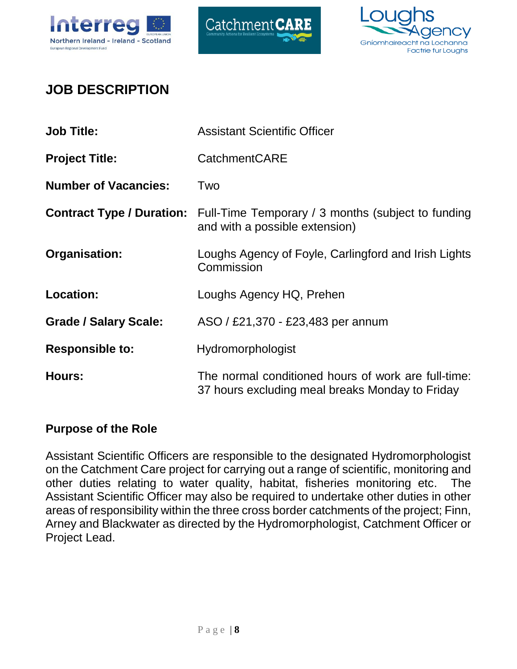





# **JOB DESCRIPTION**

| <b>Job Title:</b>                | <b>Assistant Scientific Officer</b>                                                                    |
|----------------------------------|--------------------------------------------------------------------------------------------------------|
| <b>Project Title:</b>            | <b>CatchmentCARE</b>                                                                                   |
| <b>Number of Vacancies:</b>      | Two                                                                                                    |
| <b>Contract Type / Duration:</b> | Full-Time Temporary / 3 months (subject to funding<br>and with a possible extension)                   |
| Organisation:                    | Loughs Agency of Foyle, Carlingford and Irish Lights<br>Commission                                     |
| <b>Location:</b>                 | Loughs Agency HQ, Prehen                                                                               |
| <b>Grade / Salary Scale:</b>     | ASO / £21,370 - £23,483 per annum                                                                      |
| <b>Responsible to:</b>           | Hydromorphologist                                                                                      |
| <b>Hours:</b>                    | The normal conditioned hours of work are full-time:<br>37 hours excluding meal breaks Monday to Friday |

#### **Purpose of the Role**

Assistant Scientific Officers are responsible to the designated Hydromorphologist on the Catchment Care project for carrying out a range of scientific, monitoring and other duties relating to water quality, habitat, fisheries monitoring etc. The Assistant Scientific Officer may also be required to undertake other duties in other areas of responsibility within the three cross border catchments of the project; Finn, Arney and Blackwater as directed by the Hydromorphologist, Catchment Officer or Project Lead.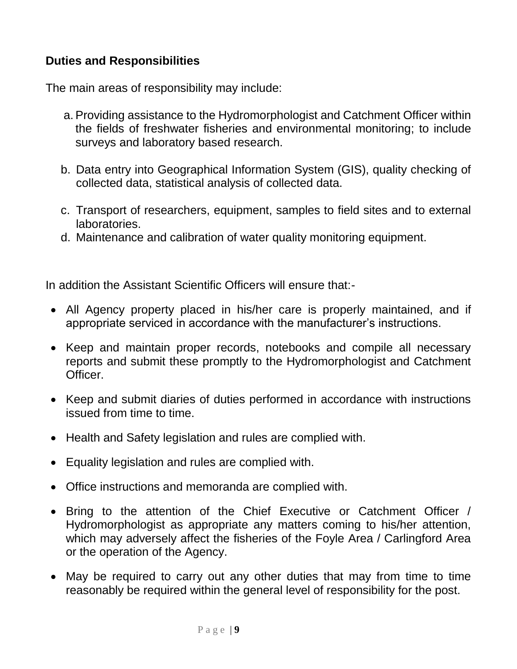#### **Duties and Responsibilities**

The main areas of responsibility may include:

- a.Providing assistance to the Hydromorphologist and Catchment Officer within the fields of freshwater fisheries and environmental monitoring; to include surveys and laboratory based research.
- b. Data entry into Geographical Information System (GIS), quality checking of collected data, statistical analysis of collected data.
- c. Transport of researchers, equipment, samples to field sites and to external laboratories.
- d. Maintenance and calibration of water quality monitoring equipment.

In addition the Assistant Scientific Officers will ensure that:-

- All Agency property placed in his/her care is properly maintained, and if appropriate serviced in accordance with the manufacturer's instructions.
- Keep and maintain proper records, notebooks and compile all necessary reports and submit these promptly to the Hydromorphologist and Catchment Officer.
- Keep and submit diaries of duties performed in accordance with instructions issued from time to time.
- Health and Safety legislation and rules are complied with.
- Equality legislation and rules are complied with.
- Office instructions and memoranda are complied with.
- Bring to the attention of the Chief Executive or Catchment Officer / Hydromorphologist as appropriate any matters coming to his/her attention, which may adversely affect the fisheries of the Foyle Area / Carlingford Area or the operation of the Agency.
- May be required to carry out any other duties that may from time to time reasonably be required within the general level of responsibility for the post.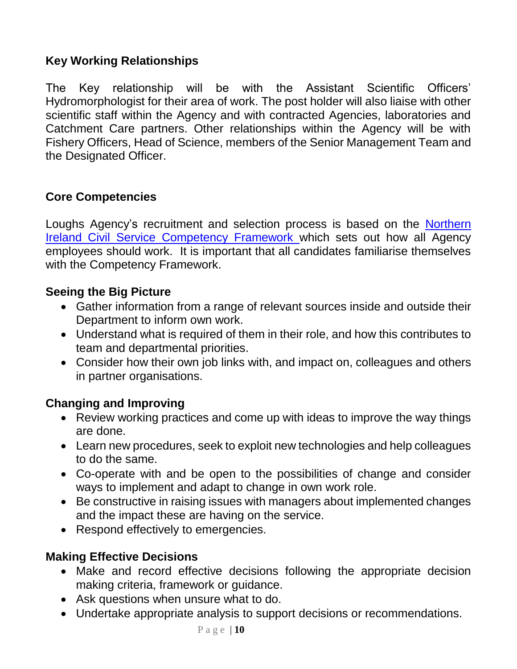#### **Key Working Relationships**

The Key relationship will be with the Assistant Scientific Officers' Hydromorphologist for their area of work. The post holder will also liaise with other scientific staff within the Agency and with contracted Agencies, laboratories and Catchment Care partners. Other relationships within the Agency will be with Fishery Officers, Head of Science, members of the Senior Management Team and the Designated Officer.

#### **Core Competencies**

Loughs Agency's recruitment and selection process is based on the [Northern](https://irecruit-ext.hrconnect.nigov.net/pages/content.aspx?Page=NICS-Competency-Framework)  [Ireland Civil Service Competency Framework](https://irecruit-ext.hrconnect.nigov.net/pages/content.aspx?Page=NICS-Competency-Framework) which sets out how all Agency employees should work. It is important that all candidates familiarise themselves with the Competency Framework.

#### **Seeing the Big Picture**

- Gather information from a range of relevant sources inside and outside their Department to inform own work.
- Understand what is required of them in their role, and how this contributes to team and departmental priorities.
- Consider how their own job links with, and impact on, colleagues and others in partner organisations.

#### **Changing and Improving**

- Review working practices and come up with ideas to improve the way things are done.
- Learn new procedures, seek to exploit new technologies and help colleagues to do the same.
- Co-operate with and be open to the possibilities of change and consider ways to implement and adapt to change in own work role.
- Be constructive in raising issues with managers about implemented changes and the impact these are having on the service.
- Respond effectively to emergencies.

#### **Making Effective Decisions**

- Make and record effective decisions following the appropriate decision making criteria, framework or guidance.
- Ask questions when unsure what to do.
- Undertake appropriate analysis to support decisions or recommendations.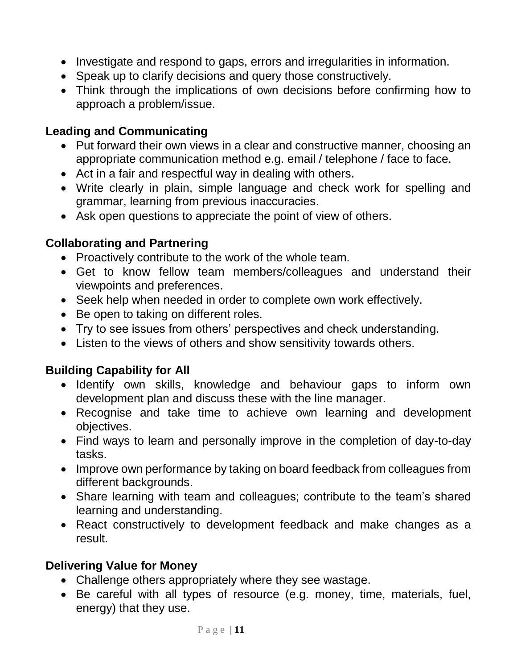- Investigate and respond to gaps, errors and irregularities in information.
- Speak up to clarify decisions and query those constructively.
- Think through the implications of own decisions before confirming how to approach a problem/issue.

#### **Leading and Communicating**

- Put forward their own views in a clear and constructive manner, choosing an appropriate communication method e.g. email / telephone / face to face.
- Act in a fair and respectful way in dealing with others.
- Write clearly in plain, simple language and check work for spelling and grammar, learning from previous inaccuracies.
- Ask open questions to appreciate the point of view of others.

#### **Collaborating and Partnering**

- Proactively contribute to the work of the whole team.
- Get to know fellow team members/colleagues and understand their viewpoints and preferences.
- Seek help when needed in order to complete own work effectively.
- Be open to taking on different roles.
- Try to see issues from others' perspectives and check understanding.
- Listen to the views of others and show sensitivity towards others.

#### **Building Capability for All**

- Identify own skills, knowledge and behaviour gaps to inform own development plan and discuss these with the line manager.
- Recognise and take time to achieve own learning and development objectives.
- Find ways to learn and personally improve in the completion of day-to-day tasks.
- Improve own performance by taking on board feedback from colleagues from different backgrounds.
- Share learning with team and colleagues; contribute to the team's shared learning and understanding.
- React constructively to development feedback and make changes as a result.

#### **Delivering Value for Money**

- Challenge others appropriately where they see wastage.
- Be careful with all types of resource (e.g. money, time, materials, fuel, energy) that they use.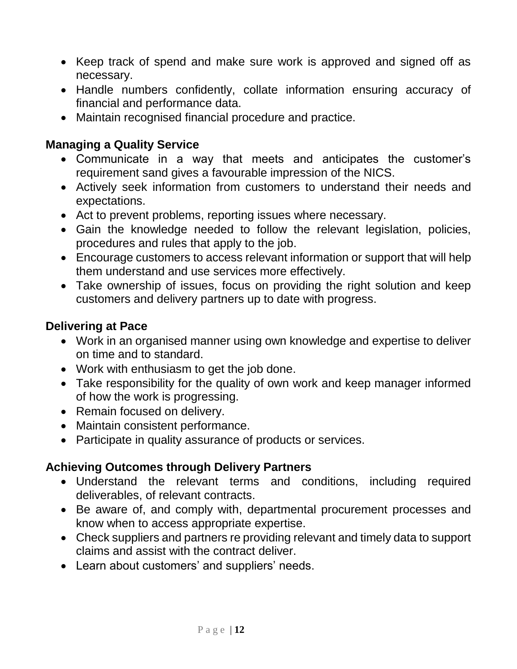- Keep track of spend and make sure work is approved and signed off as necessary.
- Handle numbers confidently, collate information ensuring accuracy of financial and performance data.
- Maintain recognised financial procedure and practice.

#### **Managing a Quality Service**

- Communicate in a way that meets and anticipates the customer's requirement sand gives a favourable impression of the NICS.
- Actively seek information from customers to understand their needs and expectations.
- Act to prevent problems, reporting issues where necessary.
- Gain the knowledge needed to follow the relevant legislation, policies, procedures and rules that apply to the job.
- Encourage customers to access relevant information or support that will help them understand and use services more effectively.
- Take ownership of issues, focus on providing the right solution and keep customers and delivery partners up to date with progress.

#### **Delivering at Pace**

- Work in an organised manner using own knowledge and expertise to deliver on time and to standard.
- Work with enthusiasm to get the job done.
- Take responsibility for the quality of own work and keep manager informed of how the work is progressing.
- Remain focused on delivery.
- Maintain consistent performance.
- Participate in quality assurance of products or services.

#### **Achieving Outcomes through Delivery Partners**

- Understand the relevant terms and conditions, including required deliverables, of relevant contracts.
- Be aware of, and comply with, departmental procurement processes and know when to access appropriate expertise.
- Check suppliers and partners re providing relevant and timely data to support claims and assist with the contract deliver.
- Learn about customers' and suppliers' needs.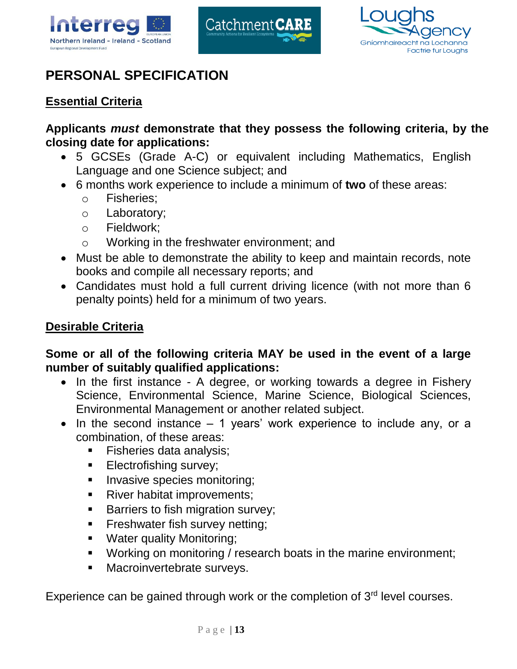





# **PERSONAL SPECIFICATION**

#### **Essential Criteria**

**Applicants** *must* **demonstrate that they possess the following criteria, by the closing date for applications:**

- 5 GCSEs (Grade A-C) or equivalent including Mathematics, English Language and one Science subject; and
- 6 months work experience to include a minimum of **two** of these areas:
	- o Fisheries;
	- o Laboratory;
	- o Fieldwork;
	- o Working in the freshwater environment; and
- Must be able to demonstrate the ability to keep and maintain records, note books and compile all necessary reports; and
- Candidates must hold a full current driving licence (with not more than 6 penalty points) held for a minimum of two years.

#### **Desirable Criteria**

#### **Some or all of the following criteria MAY be used in the event of a large number of suitably qualified applications:**

- In the first instance A degree, or working towards a degree in Fishery Science, Environmental Science, Marine Science, Biological Sciences, Environmental Management or another related subject.
- $\bullet$  In the second instance  $-1$  years' work experience to include any, or a combination, of these areas:
	- **Fisheries data analysis;**
	- **Electrofishing survey;**
	- **Invasive species monitoring;**
	- River habitat improvements;
	- **Barriers to fish migration survey;**
	- **Filter Freshwater fish survey netting;**
	- **Water quality Monitoring;**
	- Working on monitoring / research boats in the marine environment;
	- **Macroinvertebrate surveys.**

Experience can be gained through work or the completion of  $3<sup>rd</sup>$  level courses.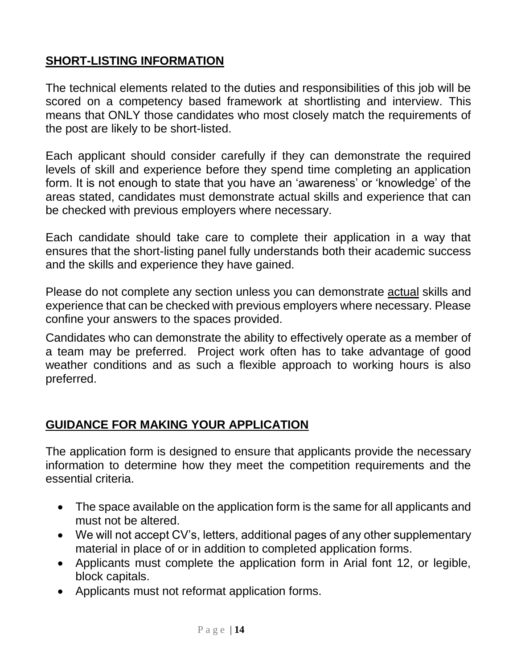#### **SHORT-LISTING INFORMATION**

The technical elements related to the duties and responsibilities of this job will be scored on a competency based framework at shortlisting and interview. This means that ONLY those candidates who most closely match the requirements of the post are likely to be short-listed.

Each applicant should consider carefully if they can demonstrate the required levels of skill and experience before they spend time completing an application form. It is not enough to state that you have an 'awareness' or 'knowledge' of the areas stated, candidates must demonstrate actual skills and experience that can be checked with previous employers where necessary.

Each candidate should take care to complete their application in a way that ensures that the short-listing panel fully understands both their academic success and the skills and experience they have gained.

Please do not complete any section unless you can demonstrate actual skills and experience that can be checked with previous employers where necessary. Please confine your answers to the spaces provided.

Candidates who can demonstrate the ability to effectively operate as a member of a team may be preferred. Project work often has to take advantage of good weather conditions and as such a flexible approach to working hours is also preferred.

#### **GUIDANCE FOR MAKING YOUR APPLICATION**

The application form is designed to ensure that applicants provide the necessary information to determine how they meet the competition requirements and the essential criteria.

- The space available on the application form is the same for all applicants and must not be altered.
- We will not accept CV's, letters, additional pages of any other supplementary material in place of or in addition to completed application forms.
- Applicants must complete the application form in Arial font 12, or legible, block capitals.
- Applicants must not reformat application forms.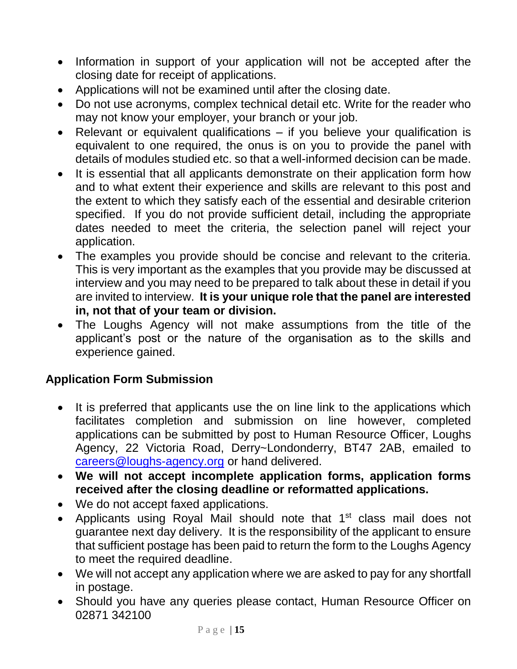- Information in support of your application will not be accepted after the closing date for receipt of applications.
- Applications will not be examined until after the closing date.
- Do not use acronyms, complex technical detail etc. Write for the reader who may not know your employer, your branch or your job.
- Relevant or equivalent qualifications if you believe your qualification is equivalent to one required, the onus is on you to provide the panel with details of modules studied etc. so that a well-informed decision can be made.
- It is essential that all applicants demonstrate on their application form how and to what extent their experience and skills are relevant to this post and the extent to which they satisfy each of the essential and desirable criterion specified. If you do not provide sufficient detail, including the appropriate dates needed to meet the criteria, the selection panel will reject your application.
- The examples you provide should be concise and relevant to the criteria. This is very important as the examples that you provide may be discussed at interview and you may need to be prepared to talk about these in detail if you are invited to interview. **It is your unique role that the panel are interested in, not that of your team or division.**
- The Loughs Agency will not make assumptions from the title of the applicant's post or the nature of the organisation as to the skills and experience gained.

#### **Application Form Submission**

- It is preferred that applicants use the on line link to the applications which facilitates completion and submission on line however, completed applications can be submitted by post to Human Resource Officer, Loughs Agency, 22 Victoria Road, Derry~Londonderry, BT47 2AB, emailed to [careers@loughs-agency.org](mailto:careers@loughs-agency.org) or hand delivered.
- **We will not accept incomplete application forms, application forms received after the closing deadline or reformatted applications.**
- We do not accept faxed applications.
- Applicants using Royal Mail should note that 1<sup>st</sup> class mail does not guarantee next day delivery. It is the responsibility of the applicant to ensure that sufficient postage has been paid to return the form to the Loughs Agency to meet the required deadline.
- We will not accept any application where we are asked to pay for any shortfall in postage.
- Should you have any queries please contact, Human Resource Officer on 02871 342100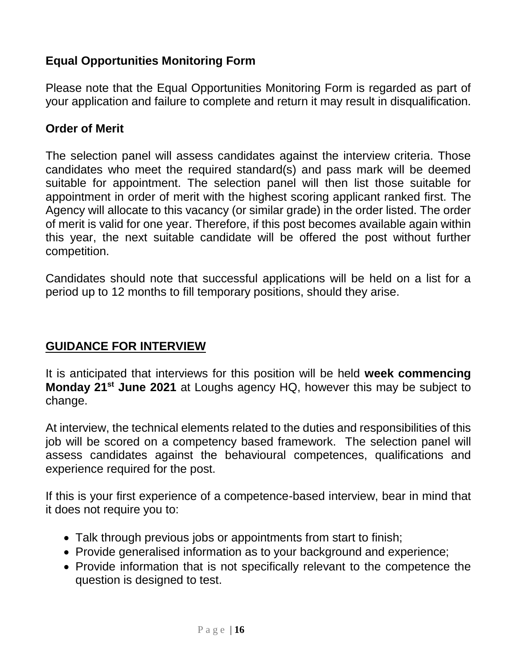#### **Equal Opportunities Monitoring Form**

Please note that the Equal Opportunities Monitoring Form is regarded as part of your application and failure to complete and return it may result in disqualification.

#### **Order of Merit**

The selection panel will assess candidates against the interview criteria. Those candidates who meet the required standard(s) and pass mark will be deemed suitable for appointment. The selection panel will then list those suitable for appointment in order of merit with the highest scoring applicant ranked first. The Agency will allocate to this vacancy (or similar grade) in the order listed. The order of merit is valid for one year. Therefore, if this post becomes available again within this year, the next suitable candidate will be offered the post without further competition.

Candidates should note that successful applications will be held on a list for a period up to 12 months to fill temporary positions, should they arise.

#### **GUIDANCE FOR INTERVIEW**

It is anticipated that interviews for this position will be held **week commencing Monday 21st June 2021** at Loughs agency HQ, however this may be subject to change.

At interview, the technical elements related to the duties and responsibilities of this job will be scored on a competency based framework. The selection panel will assess candidates against the behavioural competences, qualifications and experience required for the post.

If this is your first experience of a competence-based interview, bear in mind that it does not require you to:

- Talk through previous jobs or appointments from start to finish;
- Provide generalised information as to your background and experience;
- Provide information that is not specifically relevant to the competence the question is designed to test.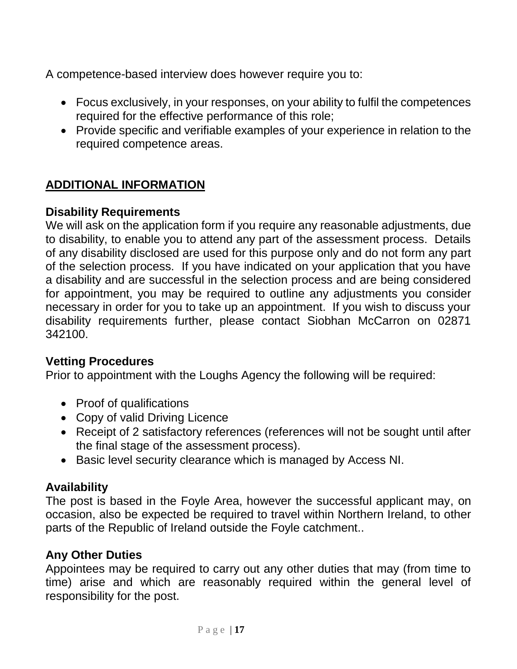A competence-based interview does however require you to:

- Focus exclusively, in your responses, on your ability to fulfil the competences required for the effective performance of this role;
- Provide specific and verifiable examples of your experience in relation to the required competence areas.

#### **ADDITIONAL INFORMATION**

#### **Disability Requirements**

We will ask on the application form if you require any reasonable adjustments, due to disability, to enable you to attend any part of the assessment process. Details of any disability disclosed are used for this purpose only and do not form any part of the selection process. If you have indicated on your application that you have a disability and are successful in the selection process and are being considered for appointment, you may be required to outline any adjustments you consider necessary in order for you to take up an appointment. If you wish to discuss your disability requirements further, please contact Siobhan McCarron on 02871 342100.

#### **Vetting Procedures**

Prior to appointment with the Loughs Agency the following will be required:

- Proof of qualifications
- Copy of valid Driving Licence
- Receipt of 2 satisfactory references (references will not be sought until after the final stage of the assessment process).
- Basic level security clearance which is managed by Access NI.

#### **Availability**

The post is based in the Foyle Area, however the successful applicant may, on occasion, also be expected be required to travel within Northern Ireland, to other parts of the Republic of Ireland outside the Foyle catchment..

#### **Any Other Duties**

Appointees may be required to carry out any other duties that may (from time to time) arise and which are reasonably required within the general level of responsibility for the post.